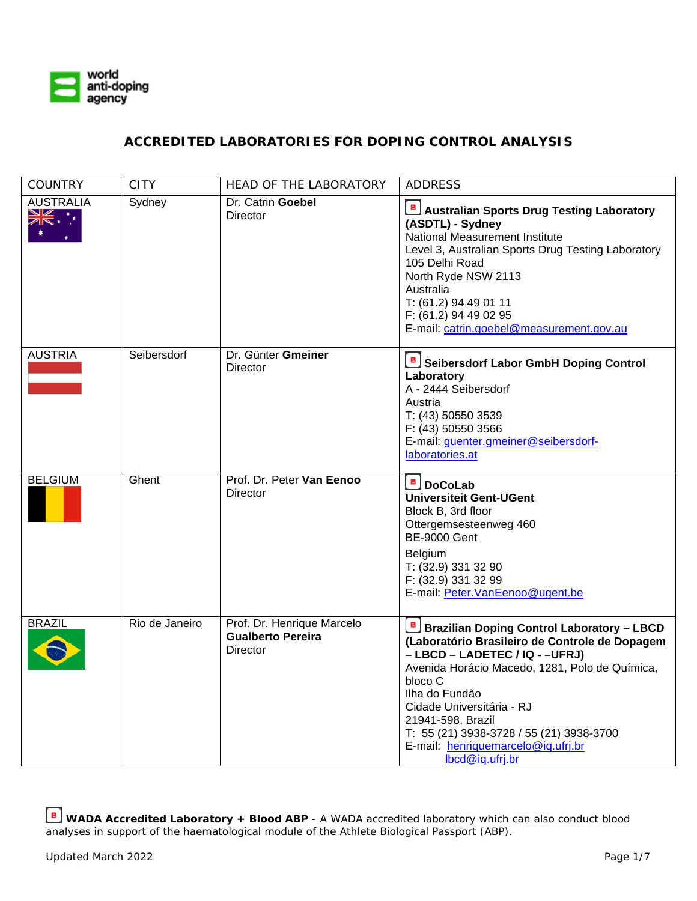

## **ACCREDITED LABORATORIES FOR DOPING CONTROL ANALYSIS**

| <b>COUNTRY</b>                    | CITY           | <b>HEAD OF THE LABORATORY</b>                                      | <b>ADDRESS</b>                                                                                                                                                                                                                                                                                                                                                                |
|-----------------------------------|----------------|--------------------------------------------------------------------|-------------------------------------------------------------------------------------------------------------------------------------------------------------------------------------------------------------------------------------------------------------------------------------------------------------------------------------------------------------------------------|
| <b>AUSTRALIA</b><br><b>XK .</b> . | Sydney         | Dr. Catrin Goebel<br>Director                                      | B Australian Sports Drug Testing Laboratory<br>(ASDTL) - Sydney<br>National Measurement Institute<br>Level 3, Australian Sports Drug Testing Laboratory<br>105 Delhi Road<br>North Ryde NSW 2113<br>Australia<br>T: (61.2) 94 49 01 11<br>F: (61.2) 94 49 02 95<br>E-mail: catrin.goebel@measurement.gov.au                                                                   |
| <b>AUSTRIA</b>                    | Seibersdorf    | Dr. Günter Gmeiner<br>Director                                     | <b>B</b> Seibersdorf Labor GmbH Doping Control<br>Laboratory<br>A - 2444 Seibersdorf<br>Austria<br>T: (43) 50550 3539<br>F: (43) 50550 3566<br>E-mail: guenter.gmeiner@seibersdorf-<br>laboratories.at                                                                                                                                                                        |
| <b>BELGIUM</b>                    | Ghent          | Prof. Dr. Peter Van Eenoo<br><b>Director</b>                       | <b>B</b> DoCoLab<br><b>Universiteit Gent-UGent</b><br>Block B, 3rd floor<br>Ottergemsesteenweg 460<br><b>BE-9000 Gent</b><br>Belgium<br>T: (32.9) 331 32 90<br>F: (32.9) 331 32 99<br>E-mail: Peter.VanEenoo@ugent.be                                                                                                                                                         |
| <b>BRAZIL</b>                     | Rio de Janeiro | Prof. Dr. Henrique Marcelo<br><b>Gualberto Pereira</b><br>Director | <b>B</b> Brazilian Doping Control Laboratory – LBCD<br>(Laboratório Brasileiro de Controle de Dopagem<br>- LBCD - LADETEC / IQ - -UFRJ)<br>Avenida Horácio Macedo, 1281, Polo de Química,<br>bloco C<br>Ilha do Fundão<br>Cidade Universitária - RJ<br>21941-598, Brazil<br>T: 55 (21) 3938-3728 / 55 (21) 3938-3700<br>E-mail: henriquemarcelo@iq.ufrj.br<br>lbcd@iq.ufrj.br |

**WADA Accredited Laboratory + Blood ABP** - A WADA accredited laboratory which can also conduct blood analyses in support of the haematological module of the Athlete Biological Passport (ABP).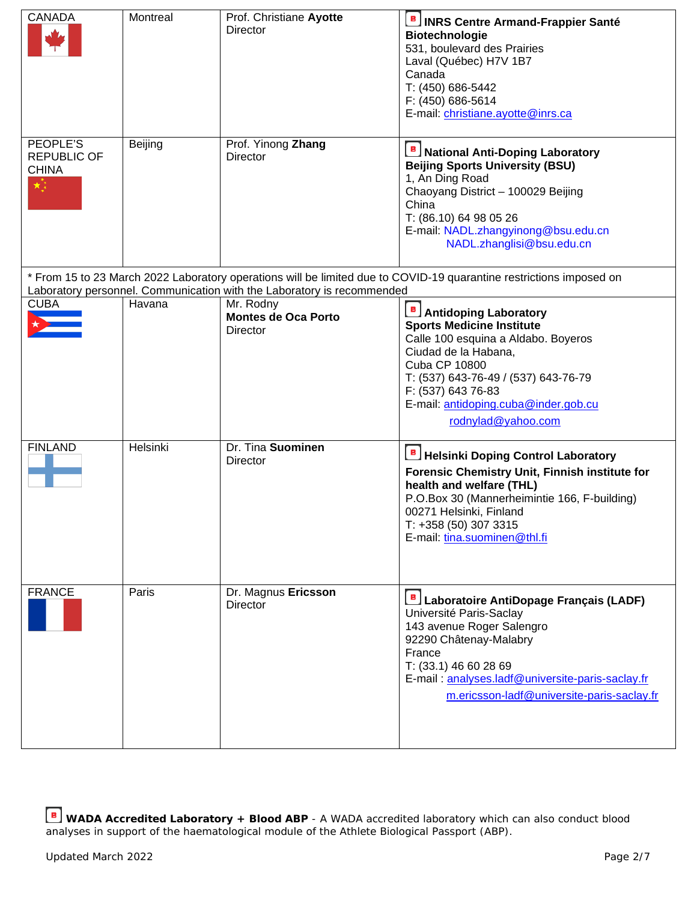| <b>CANADA</b>                                        | Montreal | Prof. Christiane Ayotte<br><b>Director</b>                             | <b>B INRS Centre Armand-Frappier Santé</b><br><b>Biotechnologie</b><br>531, boulevard des Prairies<br>Laval (Québec) H7V 1B7<br>Canada<br>T: (450) 686-5442<br>F: (450) 686-5614<br>E-mail: christiane.ayotte@inrs.ca                                                               |
|------------------------------------------------------|----------|------------------------------------------------------------------------|-------------------------------------------------------------------------------------------------------------------------------------------------------------------------------------------------------------------------------------------------------------------------------------|
| PEOPLE'S<br><b>REPUBLIC OF</b><br><b>CHINA</b><br>×} | Beijing  | Prof. Yinong Zhang<br>Director                                         | <b>B</b> National Anti-Doping Laboratory<br><b>Beijing Sports University (BSU)</b><br>1, An Ding Road<br>Chaoyang District - 100029 Beijing<br>China<br>T: (86.10) 64 98 05 26<br>E-mail: NADL.zhangyinong@bsu.edu.cn<br>NADL.zhanglisi@bsu.edu.cn                                  |
|                                                      |          | Laboratory personnel. Communication with the Laboratory is recommended | * From 15 to 23 March 2022 Laboratory operations will be limited due to COVID-19 quarantine restrictions imposed on                                                                                                                                                                 |
| <b>CUBA</b>                                          | Havana   | Mr. Rodny<br><b>Montes de Oca Porto</b><br><b>Director</b>             | <b>Antidoping Laboratory</b><br><b>Sports Medicine Institute</b><br>Calle 100 esquina a Aldabo. Boyeros<br>Ciudad de la Habana,<br><b>Cuba CP 10800</b><br>T: (537) 643-76-49 / (537) 643-76-79<br>F: (537) 643 76-83<br>E-mail: antidoping.cuba@inder.gob.cu<br>rodnylad@yahoo.com |
| <b>FINLAND</b>                                       | Helsinki | Dr. Tina Suominen<br>Director                                          | <b>Helsinki Doping Control Laboratory</b><br>Forensic Chemistry Unit, Finnish institute for<br>health and welfare (THL)<br>P.O.Box 30 (Mannerheimintie 166, F-building)<br>00271 Helsinki, Finland<br>T: +358 (50) 307 3315<br>E-mail: tina.suominen@thl.fi                         |
| <b>FRANCE</b>                                        | Paris    | Dr. Magnus Ericsson<br>Director                                        | ιB,<br>Laboratoire AntiDopage Français (LADF)<br>Université Paris-Saclay<br>143 avenue Roger Salengro<br>92290 Châtenay-Malabry<br>France<br>T: (33.1) 46 60 28 69<br>E-mail: analyses.ladf@universite-paris-saclay.fr<br>m.ericsson-ladf@universite-paris-saclay.fr                |

**WADA Accredited Laboratory + Blood ABP** - A WADA accredited laboratory which can also conduct blood analyses in support of the haematological module of the Athlete Biological Passport (ABP).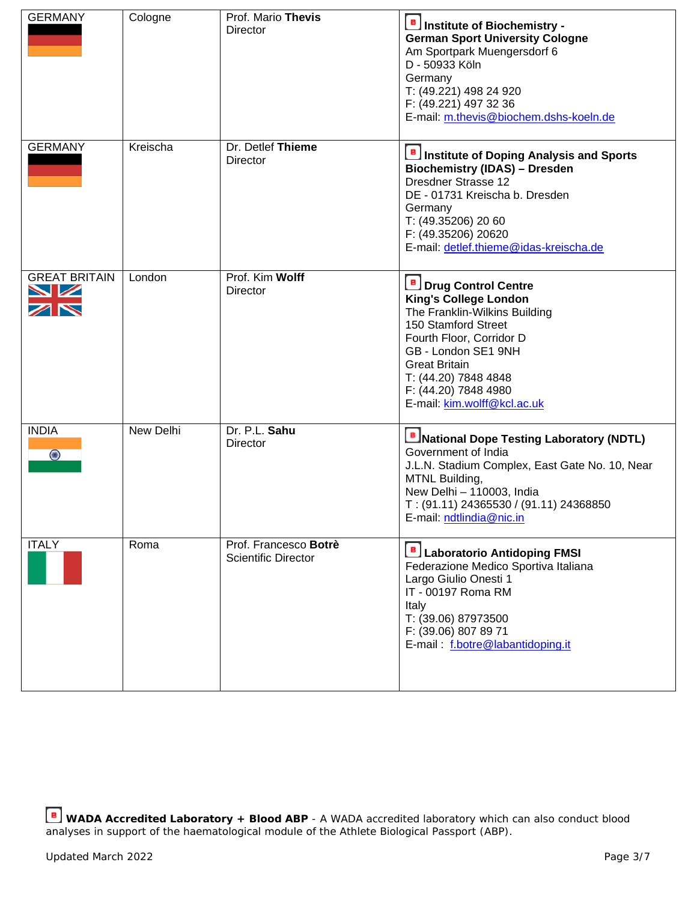| <b>GERMANY</b>                                        | Cologne   | Prof. Mario Thevis<br>Director                      | Institute of Biochemistry -<br><b>German Sport University Cologne</b><br>Am Sportpark Muengersdorf 6<br>D - 50933 Köln<br>Germany<br>T: (49.221) 498 24 920<br>F: (49.221) 497 32 36<br>E-mail: m.thevis@biochem.dshs-koeln.de                                                 |
|-------------------------------------------------------|-----------|-----------------------------------------------------|--------------------------------------------------------------------------------------------------------------------------------------------------------------------------------------------------------------------------------------------------------------------------------|
| <b>GERMANY</b>                                        | Kreischa  | Dr. Detlef Thieme<br>Director                       | Institute of Doping Analysis and Sports<br><b>Biochemistry (IDAS) - Dresden</b><br>Dresdner Strasse 12<br>DE - 01731 Kreischa b. Dresden<br>Germany<br>T: (49.35206) 20 60<br>F: (49.35206) 20620<br>E-mail: detlef.thieme@idas-kreischa.de                                    |
| <b>GREAT BRITAIN</b><br>↘☑<br>$\overline{\mathbb{Z}}$ | London    | Prof. Kim Wolff<br>Director                         | <b>B</b> Drug Control Centre<br><b>King's College London</b><br>The Franklin-Wilkins Building<br>150 Stamford Street<br>Fourth Floor, Corridor D<br>GB - London SE1 9NH<br><b>Great Britain</b><br>T: (44.20) 7848 4848<br>F: (44.20) 7848 4980<br>E-mail: kim.wolff@kcl.ac.uk |
| <b>INDIA</b><br>$\bigcirc$                            | New Delhi | Dr. P.L. Sahu<br>Director                           | <b>B</b> INational Dope Testing Laboratory (NDTL)<br>Government of India<br>J.L.N. Stadium Complex, East Gate No. 10, Near<br>MTNL Building,<br>New Delhi - 110003, India<br>T: (91.11) 24365530 / (91.11) 24368850<br>E-mail: ndtlindia@nic.in                                |
| <b>ITALY</b>                                          | Roma      | Prof. Francesco Botrè<br><b>Scientific Director</b> | Laboratorio Antidoping FMSI<br>Federazione Medico Sportiva Italiana<br>Largo Giulio Onesti 1<br>IT - 00197 Roma RM<br>Italy<br>T: (39.06) 87973500<br>F: (39.06) 807 89 71<br>E-mail: f.botre@labantidoping.it                                                                 |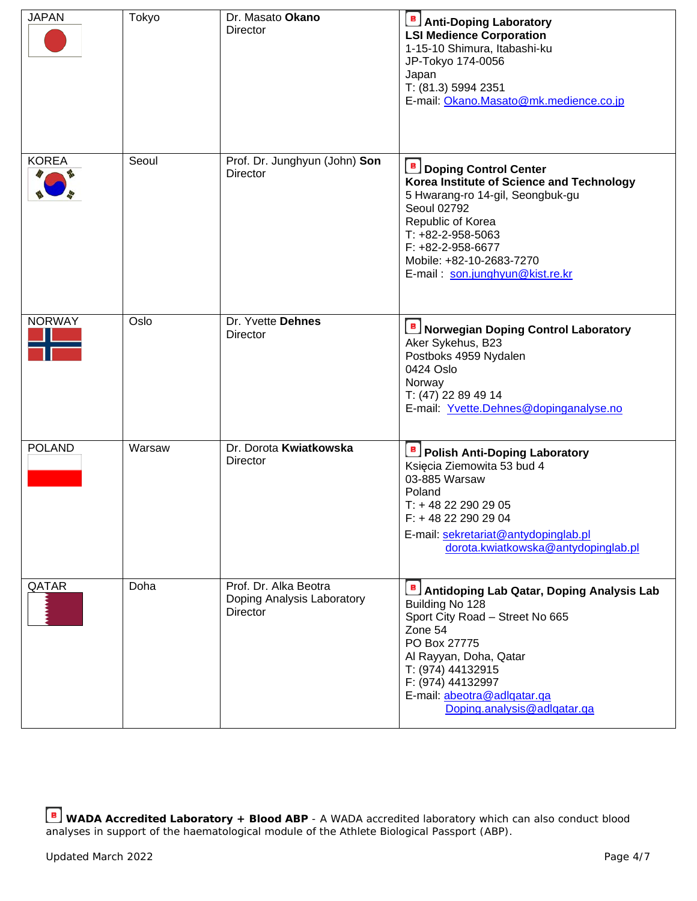| <b>JAPAN</b>  | Tokyo  | Dr. Masato Okano<br>Director                                    | <b>B</b> Anti-Doping Laboratory<br><b>LSI Medience Corporation</b><br>1-15-10 Shimura, Itabashi-ku<br>JP-Tokyo 174-0056<br>Japan<br>T: (81.3) 5994 2351<br>E-mail: Okano.Masato@mk.medience.co.jp                                                                |
|---------------|--------|-----------------------------------------------------------------|------------------------------------------------------------------------------------------------------------------------------------------------------------------------------------------------------------------------------------------------------------------|
| <b>KOREA</b>  | Seoul  | Prof. Dr. Junghyun (John) Son<br>Director                       | <b>B</b> Doping Control Center<br>Korea Institute of Science and Technology<br>5 Hwarang-ro 14-gil, Seongbuk-gu<br>Seoul 02792<br>Republic of Korea<br>$T: +82-2-958-5063$<br>$F: +82-2-958-6677$<br>Mobile: +82-10-2683-7270<br>E-mail: son.junghyun@kist.re.kr |
| <b>NORWAY</b> | Oslo   | Dr. Yvette Dehnes<br>Director                                   | <b>B</b> Norwegian Doping Control Laboratory<br>Aker Sykehus, B23<br>Postboks 4959 Nydalen<br>0424 Oslo<br>Norway<br>T: (47) 22 89 49 14<br>E-mail: Yvette.Dehnes@dopinganalyse.no                                                                               |
| <b>POLAND</b> | Warsaw | Dr. Dorota Kwiatkowska<br>Director                              | <b>B</b> Polish Anti-Doping Laboratory<br>Księcia Ziemowita 53 bud 4<br>03-885 Warsaw<br>Poland<br>T: +48 22 290 29 05<br>$F: +48222902904$<br>E-mail: sekretariat@antydopinglab.pl<br>dorota.kwiatkowska@antydopinglab.pl                                       |
| QATAR         | Doha   | Prof. Dr. Alka Beotra<br>Doping Analysis Laboratory<br>Director | Antidoping Lab Qatar, Doping Analysis Lab<br>Building No 128<br>Sport City Road - Street No 665<br>Zone 54<br>PO Box 27775<br>Al Rayyan, Doha, Qatar<br>T: (974) 44132915<br>F: (974) 44132997<br>E-mail: abeotra@adlqatar.qa<br>Doping.analysis@adlqatar.qa     |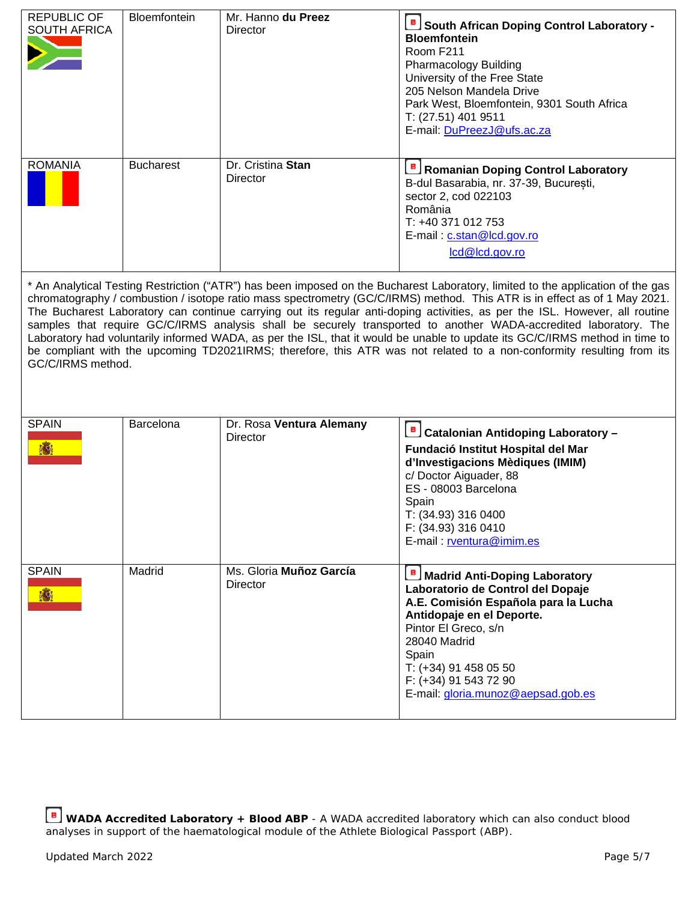| <b>REPUBLIC OF</b><br><b>SOUTH AFRICA</b>                                                                                                                                                                                                                                                                                                                                                                                                                                                                                                                                                                                                                                                                                                                                                    | Bloemfontein     | Mr. Hanno du Preez<br><b>Director</b>       | South African Doping Control Laboratory -<br><b>Bloemfontein</b><br>Room F211<br>Pharmacology Building<br>University of the Free State<br>205 Nelson Mandela Drive<br>Park West, Bloemfontein, 9301 South Africa<br>T: (27.51) 401 9511<br>E-mail: DuPreezJ@ufs.ac.za                   |  |
|----------------------------------------------------------------------------------------------------------------------------------------------------------------------------------------------------------------------------------------------------------------------------------------------------------------------------------------------------------------------------------------------------------------------------------------------------------------------------------------------------------------------------------------------------------------------------------------------------------------------------------------------------------------------------------------------------------------------------------------------------------------------------------------------|------------------|---------------------------------------------|-----------------------------------------------------------------------------------------------------------------------------------------------------------------------------------------------------------------------------------------------------------------------------------------|--|
| <b>ROMANIA</b>                                                                                                                                                                                                                                                                                                                                                                                                                                                                                                                                                                                                                                                                                                                                                                               | <b>Bucharest</b> | Dr. Cristina Stan<br><b>Director</b>        | <b>B</b> Romanian Doping Control Laboratory<br>B-dul Basarabia, nr. 37-39, București,<br>sector 2, cod 022103<br>România<br>T: +40 371 012 753<br>E-mail: c.stan@lcd.gov.ro<br>lcd@lcd.gov.ro                                                                                           |  |
| * An Analytical Testing Restriction ("ATR") has been imposed on the Bucharest Laboratory, limited to the application of the gas<br>chromatography / combustion / isotope ratio mass spectrometry (GC/C/IRMS) method. This ATR is in effect as of 1 May 2021.<br>The Bucharest Laboratory can continue carrying out its regular anti-doping activities, as per the ISL. However, all routine<br>samples that require GC/C/IRMS analysis shall be securely transported to another WADA-accredited laboratory. The<br>Laboratory had voluntarily informed WADA, as per the ISL, that it would be unable to update its GC/C/IRMS method in time to<br>be compliant with the upcoming TD2021IRMS; therefore, this ATR was not related to a non-conformity resulting from its<br>GC/C/IRMS method. |                  |                                             |                                                                                                                                                                                                                                                                                         |  |
| <b>SPAIN</b>                                                                                                                                                                                                                                                                                                                                                                                                                                                                                                                                                                                                                                                                                                                                                                                 | Barcelona        | Dr. Rosa Ventura Alemany<br><b>Director</b> | <u>B</u> Catalonian Antidoping Laboratory –<br>Fundació Institut Hospital del Mar<br>d'Investigacions Mèdiques (IMIM)<br>c/Doctor Aiguader, 88<br>ES - 08003 Barcelona<br>Spain<br>T: (34.93) 316 0400<br>F: (34.93) 316 0410<br>E-mail: rventura@imim.es                               |  |
| <b>SPAIN</b>                                                                                                                                                                                                                                                                                                                                                                                                                                                                                                                                                                                                                                                                                                                                                                                 | Madrid           | Ms. Gloria Muñoz García<br>Director         | <b>Madrid Anti-Doping Laboratory</b><br>Laboratorio de Control del Dopaje<br>A.E. Comisión Española para la Lucha<br>Antidopaje en el Deporte.<br>Pintor El Greco, s/n<br>28040 Madrid<br>Spain<br>T: (+34) 91 458 05 50<br>F: (+34) 91 543 72 90<br>E-mail: gloria.munoz@aepsad.gob.es |  |

**WADA Accredited Laboratory + Blood ABP** - A WADA accredited laboratory which can also conduct blood analyses in support of the haematological module of the Athlete Biological Passport (ABP).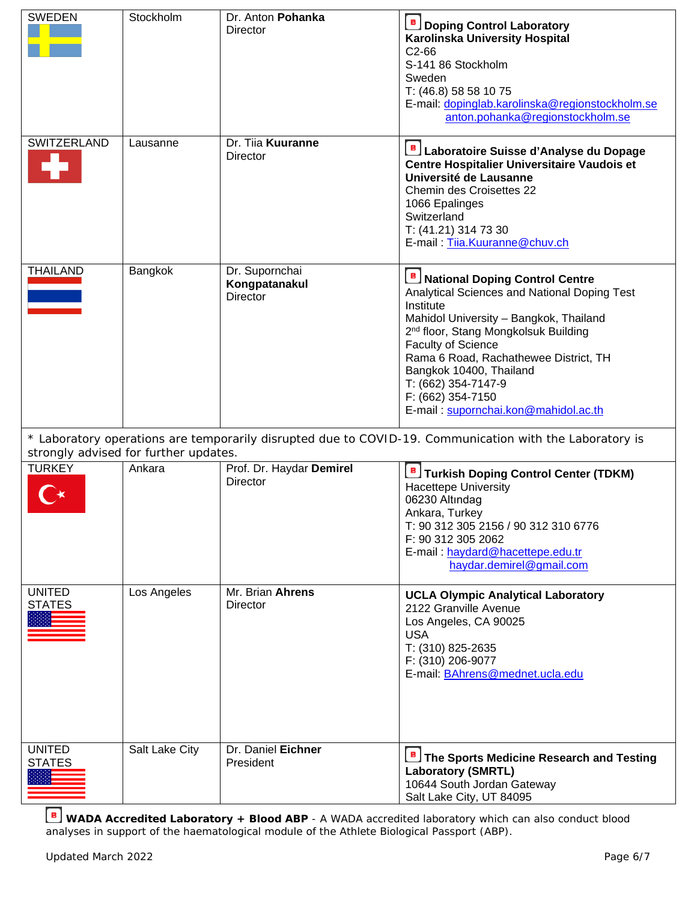| <b>SWEDEN</b>                  | Stockholm                             | Dr. Anton Pohanka<br>Director                      | <b>B</b> Doping Control Laboratory<br>Karolinska University Hospital<br>C <sub>2</sub> -66<br>S-141 86 Stockholm<br>Sweden<br>T: (46.8) 58 58 10 75<br>E-mail: dopinglab.karolinska@regionstockholm.se<br>anton.pohanka@regionstockholm.se                                                                                                                                              |
|--------------------------------|---------------------------------------|----------------------------------------------------|-----------------------------------------------------------------------------------------------------------------------------------------------------------------------------------------------------------------------------------------------------------------------------------------------------------------------------------------------------------------------------------------|
| SWITZERLAND                    | Lausanne                              | Dr. Tiia Kuuranne<br>Director                      | <b>B</b> Laboratoire Suisse d'Analyse du Dopage<br>Centre Hospitalier Universitaire Vaudois et<br>Université de Lausanne<br>Chemin des Croisettes 22<br>1066 Epalinges<br>Switzerland<br>T: (41.21) 314 73 30<br>E-mail: Tija.Kuuranne@chuv.ch                                                                                                                                          |
| <b>THAILAND</b>                | Bangkok                               | Dr. Supornchai<br>Kongpatanakul<br><b>Director</b> | <b>B</b> National Doping Control Centre<br>Analytical Sciences and National Doping Test<br>Institute<br>Mahidol University - Bangkok, Thailand<br>2 <sup>nd</sup> floor, Stang Mongkolsuk Building<br><b>Faculty of Science</b><br>Rama 6 Road, Rachathewee District, TH<br>Bangkok 10400, Thailand<br>T: (662) 354-7147-9<br>F: (662) 354-7150<br>E-mail: supornchai.kon@mahidol.ac.th |
|                                | strongly advised for further updates. |                                                    | * Laboratory operations are temporarily disrupted due to COVID-19. Communication with the Laboratory is                                                                                                                                                                                                                                                                                 |
| <b>TURKEY</b>                  | Ankara                                | Prof. Dr. Haydar Demirel<br>Director               | Turkish Doping Control Center (TDKM)<br><b>Hacettepe University</b><br>06230 Altındag<br>Ankara, Turkey<br>T: 90 312 305 2156 / 90 312 310 6776<br>F: 90 312 305 2062<br>E-mail: haydard@hacettepe.edu.tr<br>haydar.demirel@gmail.com                                                                                                                                                   |
| <b>UNITED</b><br><b>STATES</b> | Los Angeles                           | Mr. Brian Ahrens<br><b>Director</b>                | <b>UCLA Olympic Analytical Laboratory</b><br>2122 Granville Avenue<br>Los Angeles, CA 90025<br><b>USA</b><br>T: (310) 825-2635<br>F: (310) 206-9077<br>E-mail: BAhrens@mednet.ucla.edu                                                                                                                                                                                                  |
| <b>UNITED</b><br><b>STATES</b> | Salt Lake City                        | Dr. Daniel Eichner<br>President                    | The Sports Medicine Research and Testing<br><b>Laboratory (SMRTL)</b><br>10644 South Jordan Gateway<br>Salt Lake City, UT 84095                                                                                                                                                                                                                                                         |

**WADA Accredited Laboratory + Blood ABP** - A WADA accredited laboratory which can also conduct blood analyses in support of the haematological module of the Athlete Biological Passport (ABP).